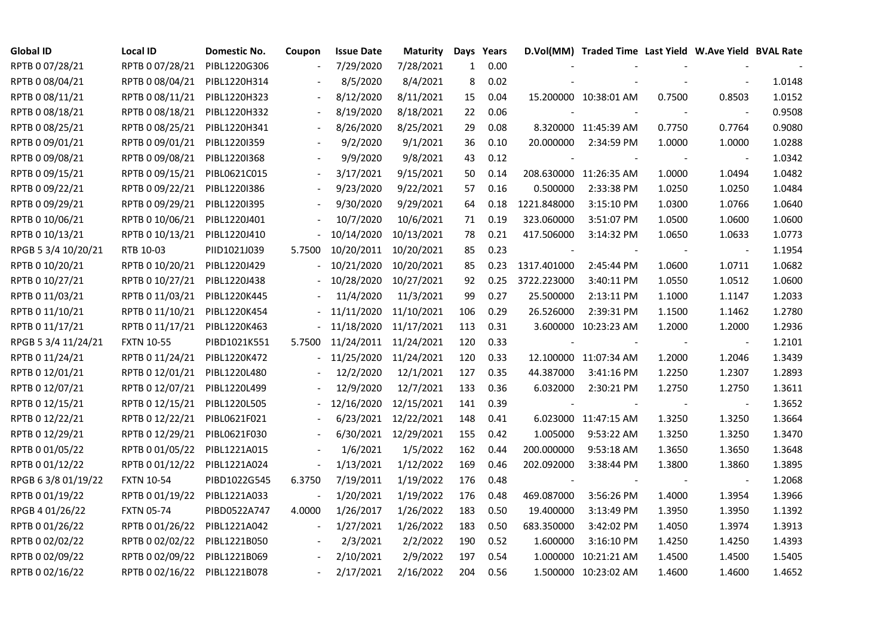| <b>Global ID</b>    | <b>Local ID</b>   | Domestic No. | Coupon                   | <b>Issue Date</b> | <b>Maturity</b> | Days         | Years |             | D.Vol(MM) Traded Time Last Yield W.Ave Yield BVAL Rate |        |                          |        |
|---------------------|-------------------|--------------|--------------------------|-------------------|-----------------|--------------|-------|-------------|--------------------------------------------------------|--------|--------------------------|--------|
| RPTB 0 07/28/21     | RPTB 0 07/28/21   | PIBL1220G306 |                          | 7/29/2020         | 7/28/2021       | $\mathbf{1}$ | 0.00  |             |                                                        |        |                          |        |
| RPTB 0 08/04/21     | RPTB 0 08/04/21   | PIBL1220H314 |                          | 8/5/2020          | 8/4/2021        | 8            | 0.02  |             |                                                        |        |                          | 1.0148 |
| RPTB 0 08/11/21     | RPTB 0 08/11/21   | PIBL1220H323 |                          | 8/12/2020         | 8/11/2021       | 15           | 0.04  |             | 15.200000 10:38:01 AM                                  | 0.7500 | 0.8503                   | 1.0152 |
| RPTB 0 08/18/21     | RPTB 0 08/18/21   | PIBL1220H332 | $\overline{\phantom{a}}$ | 8/19/2020         | 8/18/2021       | 22           | 0.06  |             |                                                        |        | $\overline{\phantom{a}}$ | 0.9508 |
| RPTB 0 08/25/21     | RPTB 0 08/25/21   | PIBL1220H341 |                          | 8/26/2020         | 8/25/2021       | 29           | 0.08  |             | 8.320000 11:45:39 AM                                   | 0.7750 | 0.7764                   | 0.9080 |
| RPTB 0 09/01/21     | RPTB 0 09/01/21   | PIBL12201359 |                          | 9/2/2020          | 9/1/2021        | 36           | 0.10  | 20.000000   | 2:34:59 PM                                             | 1.0000 | 1.0000                   | 1.0288 |
| RPTB 0 09/08/21     | RPTB 0 09/08/21   | PIBL1220I368 |                          | 9/9/2020          | 9/8/2021        | 43           | 0.12  |             |                                                        |        | $\overline{\phantom{a}}$ | 1.0342 |
| RPTB 0 09/15/21     | RPTB 0 09/15/21   | PIBL0621C015 |                          | 3/17/2021         | 9/15/2021       | 50           | 0.14  |             | 208.630000 11:26:35 AM                                 | 1.0000 | 1.0494                   | 1.0482 |
| RPTB 0 09/22/21     | RPTB 0 09/22/21   | PIBL1220I386 |                          | 9/23/2020         | 9/22/2021       | 57           | 0.16  | 0.500000    | 2:33:38 PM                                             | 1.0250 | 1.0250                   | 1.0484 |
| RPTB 0 09/29/21     | RPTB 0 09/29/21   | PIBL1220I395 |                          | 9/30/2020         | 9/29/2021       | 64           | 0.18  | 1221.848000 | 3:15:10 PM                                             | 1.0300 | 1.0766                   | 1.0640 |
| RPTB 0 10/06/21     | RPTB 0 10/06/21   | PIBL1220J401 |                          | 10/7/2020         | 10/6/2021       | 71           | 0.19  | 323.060000  | 3:51:07 PM                                             | 1.0500 | 1.0600                   | 1.0600 |
| RPTB 0 10/13/21     | RPTB 0 10/13/21   | PIBL1220J410 |                          | 10/14/2020        | 10/13/2021      | 78           | 0.21  | 417.506000  | 3:14:32 PM                                             | 1.0650 | 1.0633                   | 1.0773 |
| RPGB 5 3/4 10/20/21 | RTB 10-03         | PIID1021J039 | 5.7500                   | 10/20/2011        | 10/20/2021      | 85           | 0.23  |             |                                                        |        | $\overline{\phantom{a}}$ | 1.1954 |
| RPTB 0 10/20/21     | RPTB 0 10/20/21   | PIBL1220J429 |                          | 10/21/2020        | 10/20/2021      | 85           | 0.23  | 1317.401000 | 2:45:44 PM                                             | 1.0600 | 1.0711                   | 1.0682 |
| RPTB 0 10/27/21     | RPTB 0 10/27/21   | PIBL1220J438 |                          | 10/28/2020        | 10/27/2021      | 92           | 0.25  | 3722.223000 | 3:40:11 PM                                             | 1.0550 | 1.0512                   | 1.0600 |
| RPTB 0 11/03/21     | RPTB 0 11/03/21   | PIBL1220K445 |                          | 11/4/2020         | 11/3/2021       | 99           | 0.27  | 25.500000   | 2:13:11 PM                                             | 1.1000 | 1.1147                   | 1.2033 |
| RPTB 0 11/10/21     | RPTB 0 11/10/21   | PIBL1220K454 |                          | 11/11/2020        | 11/10/2021      | 106          | 0.29  | 26.526000   | 2:39:31 PM                                             | 1.1500 | 1.1462                   | 1.2780 |
| RPTB 0 11/17/21     | RPTB 0 11/17/21   | PIBL1220K463 |                          | 11/18/2020        | 11/17/2021      | 113          | 0.31  |             | 3.600000 10:23:23 AM                                   | 1.2000 | 1.2000                   | 1.2936 |
| RPGB 5 3/4 11/24/21 | <b>FXTN 10-55</b> | PIBD1021K551 | 5.7500                   | 11/24/2011        | 11/24/2021      | 120          | 0.33  |             |                                                        |        | $\overline{\phantom{a}}$ | 1.2101 |
| RPTB 0 11/24/21     | RPTB 0 11/24/21   | PIBL1220K472 |                          | 11/25/2020        | 11/24/2021      | 120          | 0.33  |             | 12.100000 11:07:34 AM                                  | 1.2000 | 1.2046                   | 1.3439 |
| RPTB 0 12/01/21     | RPTB 0 12/01/21   | PIBL1220L480 |                          | 12/2/2020         | 12/1/2021       | 127          | 0.35  | 44.387000   | 3:41:16 PM                                             | 1.2250 | 1.2307                   | 1.2893 |
| RPTB 0 12/07/21     | RPTB 0 12/07/21   | PIBL1220L499 |                          | 12/9/2020         | 12/7/2021       | 133          | 0.36  | 6.032000    | 2:30:21 PM                                             | 1.2750 | 1.2750                   | 1.3611 |
| RPTB 0 12/15/21     | RPTB 0 12/15/21   | PIBL1220L505 |                          | 12/16/2020        | 12/15/2021      | 141          | 0.39  |             |                                                        |        |                          | 1.3652 |
| RPTB 0 12/22/21     | RPTB 0 12/22/21   | PIBL0621F021 |                          | 6/23/2021         | 12/22/2021      | 148          | 0.41  |             | 6.023000 11:47:15 AM                                   | 1.3250 | 1.3250                   | 1.3664 |
| RPTB 0 12/29/21     | RPTB 0 12/29/21   | PIBL0621F030 |                          | 6/30/2021         | 12/29/2021      | 155          | 0.42  | 1.005000    | 9:53:22 AM                                             | 1.3250 | 1.3250                   | 1.3470 |
| RPTB 0 01/05/22     | RPTB 0 01/05/22   | PIBL1221A015 |                          | 1/6/2021          | 1/5/2022        | 162          | 0.44  | 200.000000  | 9:53:18 AM                                             | 1.3650 | 1.3650                   | 1.3648 |
| RPTB 0 01/12/22     | RPTB 0 01/12/22   | PIBL1221A024 | $\blacksquare$           | 1/13/2021         | 1/12/2022       | 169          | 0.46  | 202.092000  | 3:38:44 PM                                             | 1.3800 | 1.3860                   | 1.3895 |
| RPGB 6 3/8 01/19/22 | <b>FXTN 10-54</b> | PIBD1022G545 | 6.3750                   | 7/19/2011         | 1/19/2022       | 176          | 0.48  |             |                                                        |        | $\blacksquare$           | 1.2068 |
| RPTB 0 01/19/22     | RPTB 0 01/19/22   | PIBL1221A033 | $\overline{\phantom{a}}$ | 1/20/2021         | 1/19/2022       | 176          | 0.48  | 469.087000  | 3:56:26 PM                                             | 1.4000 | 1.3954                   | 1.3966 |
| RPGB 4 01/26/22     | <b>FXTN 05-74</b> | PIBD0522A747 | 4.0000                   | 1/26/2017         | 1/26/2022       | 183          | 0.50  | 19.400000   | 3:13:49 PM                                             | 1.3950 | 1.3950                   | 1.1392 |
| RPTB 0 01/26/22     | RPTB 0 01/26/22   | PIBL1221A042 |                          | 1/27/2021         | 1/26/2022       | 183          | 0.50  | 683.350000  | 3:42:02 PM                                             | 1.4050 | 1.3974                   | 1.3913 |
| RPTB 0 02/02/22     | RPTB 0 02/02/22   | PIBL1221B050 |                          | 2/3/2021          | 2/2/2022        | 190          | 0.52  | 1.600000    | 3:16:10 PM                                             | 1.4250 | 1.4250                   | 1.4393 |
| RPTB 0 02/09/22     | RPTB 0 02/09/22   | PIBL1221B069 |                          | 2/10/2021         | 2/9/2022        | 197          | 0.54  | 1.000000    | 10:21:21 AM                                            | 1.4500 | 1.4500                   | 1.5405 |
| RPTB 0 02/16/22     | RPTB 0 02/16/22   | PIBL1221B078 |                          | 2/17/2021         | 2/16/2022       | 204          | 0.56  |             | 1.500000 10:23:02 AM                                   | 1.4600 | 1.4600                   | 1.4652 |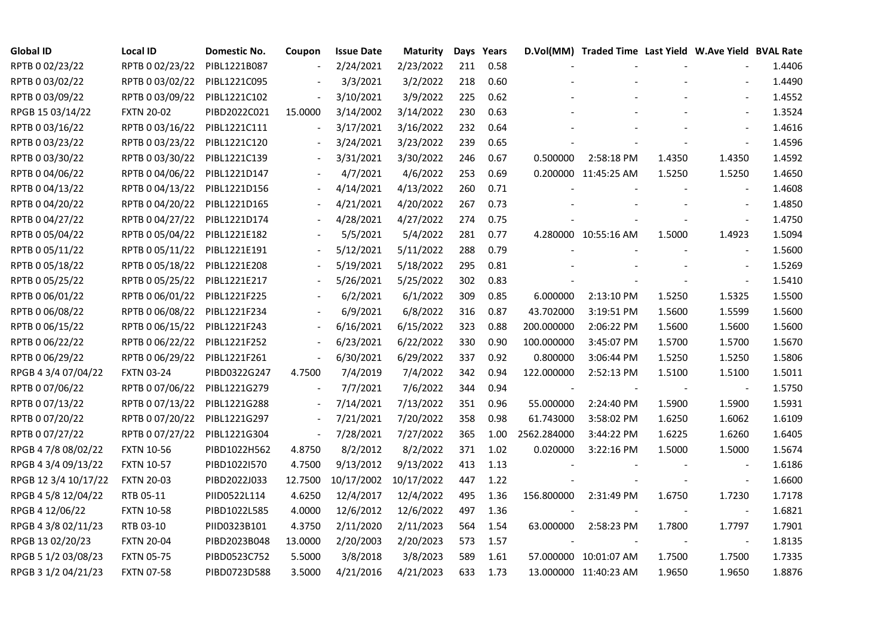| <b>Global ID</b>     | <b>Local ID</b>   | Domestic No. | Coupon                   | <b>Issue Date</b> | <b>Maturity</b> |     | Days Years |                          | D.Vol(MM) Traded Time Last Yield W.Ave Yield BVAL Rate |        |                          |        |
|----------------------|-------------------|--------------|--------------------------|-------------------|-----------------|-----|------------|--------------------------|--------------------------------------------------------|--------|--------------------------|--------|
| RPTB 0 02/23/22      | RPTB 0 02/23/22   | PIBL1221B087 | $\overline{\phantom{a}}$ | 2/24/2021         | 2/23/2022       | 211 | 0.58       |                          |                                                        |        |                          | 1.4406 |
| RPTB 0 03/02/22      | RPTB 0 03/02/22   | PIBL1221C095 |                          | 3/3/2021          | 3/2/2022        | 218 | 0.60       |                          |                                                        |        |                          | 1.4490 |
| RPTB 0 03/09/22      | RPTB 0 03/09/22   | PIBL1221C102 |                          | 3/10/2021         | 3/9/2022        | 225 | 0.62       |                          |                                                        |        |                          | 1.4552 |
| RPGB 15 03/14/22     | <b>FXTN 20-02</b> | PIBD2022C021 | 15.0000                  | 3/14/2002         | 3/14/2022       | 230 | 0.63       |                          |                                                        |        |                          | 1.3524 |
| RPTB 0 03/16/22      | RPTB 0 03/16/22   | PIBL1221C111 | $\blacksquare$           | 3/17/2021         | 3/16/2022       | 232 | 0.64       |                          |                                                        |        |                          | 1.4616 |
| RPTB 0 03/23/22      | RPTB 0 03/23/22   | PIBL1221C120 |                          | 3/24/2021         | 3/23/2022       | 239 | 0.65       |                          |                                                        |        |                          | 1.4596 |
| RPTB 0 03/30/22      | RPTB 0 03/30/22   | PIBL1221C139 |                          | 3/31/2021         | 3/30/2022       | 246 | 0.67       | 0.500000                 | 2:58:18 PM                                             | 1.4350 | 1.4350                   | 1.4592 |
| RPTB 0 04/06/22      | RPTB 0 04/06/22   | PIBL1221D147 |                          | 4/7/2021          | 4/6/2022        | 253 | 0.69       |                          | 0.200000 11:45:25 AM                                   | 1.5250 | 1.5250                   | 1.4650 |
| RPTB 0 04/13/22      | RPTB 0 04/13/22   | PIBL1221D156 |                          | 4/14/2021         | 4/13/2022       | 260 | 0.71       |                          |                                                        |        |                          | 1.4608 |
| RPTB 0 04/20/22      | RPTB 0 04/20/22   | PIBL1221D165 |                          | 4/21/2021         | 4/20/2022       | 267 | 0.73       |                          |                                                        |        |                          | 1.4850 |
| RPTB 0 04/27/22      | RPTB 0 04/27/22   | PIBL1221D174 | $\overline{\phantom{a}}$ | 4/28/2021         | 4/27/2022       | 274 | 0.75       |                          |                                                        |        | $\blacksquare$           | 1.4750 |
| RPTB 0 05/04/22      | RPTB 0 05/04/22   | PIBL1221E182 |                          | 5/5/2021          | 5/4/2022        | 281 | 0.77       |                          | 4.280000 10:55:16 AM                                   | 1.5000 | 1.4923                   | 1.5094 |
| RPTB 0 05/11/22      | RPTB 0 05/11/22   | PIBL1221E191 |                          | 5/12/2021         | 5/11/2022       | 288 | 0.79       |                          |                                                        |        |                          | 1.5600 |
| RPTB 0 05/18/22      | RPTB 0 05/18/22   | PIBL1221E208 |                          | 5/19/2021         | 5/18/2022       | 295 | 0.81       |                          |                                                        |        | $\blacksquare$           | 1.5269 |
| RPTB 0 05/25/22      | RPTB 0 05/25/22   | PIBL1221E217 |                          | 5/26/2021         | 5/25/2022       | 302 | 0.83       |                          |                                                        |        | $\overline{\phantom{a}}$ | 1.5410 |
| RPTB 0 06/01/22      | RPTB 0 06/01/22   | PIBL1221F225 |                          | 6/2/2021          | 6/1/2022        | 309 | 0.85       | 6.000000                 | 2:13:10 PM                                             | 1.5250 | 1.5325                   | 1.5500 |
| RPTB 0 06/08/22      | RPTB 0 06/08/22   | PIBL1221F234 |                          | 6/9/2021          | 6/8/2022        | 316 | 0.87       | 43.702000                | 3:19:51 PM                                             | 1.5600 | 1.5599                   | 1.5600 |
| RPTB 0 06/15/22      | RPTB 0 06/15/22   | PIBL1221F243 | $\overline{\phantom{a}}$ | 6/16/2021         | 6/15/2022       | 323 | 0.88       | 200.000000               | 2:06:22 PM                                             | 1.5600 | 1.5600                   | 1.5600 |
| RPTB 0 06/22/22      | RPTB 0 06/22/22   | PIBL1221F252 | $\overline{\phantom{a}}$ | 6/23/2021         | 6/22/2022       | 330 | 0.90       | 100.000000               | 3:45:07 PM                                             | 1.5700 | 1.5700                   | 1.5670 |
| RPTB 0 06/29/22      | RPTB 0 06/29/22   | PIBL1221F261 | $\blacksquare$           | 6/30/2021         | 6/29/2022       | 337 | 0.92       | 0.800000                 | 3:06:44 PM                                             | 1.5250 | 1.5250                   | 1.5806 |
| RPGB 4 3/4 07/04/22  | <b>FXTN 03-24</b> | PIBD0322G247 | 4.7500                   | 7/4/2019          | 7/4/2022        | 342 | 0.94       | 122.000000               | 2:52:13 PM                                             | 1.5100 | 1.5100                   | 1.5011 |
| RPTB 0 07/06/22      | RPTB 0 07/06/22   | PIBL1221G279 |                          | 7/7/2021          | 7/6/2022        | 344 | 0.94       | $\overline{\phantom{a}}$ |                                                        |        | $\blacksquare$           | 1.5750 |
| RPTB 0 07/13/22      | RPTB 0 07/13/22   | PIBL1221G288 | $\overline{\phantom{a}}$ | 7/14/2021         | 7/13/2022       | 351 | 0.96       | 55.000000                | 2:24:40 PM                                             | 1.5900 | 1.5900                   | 1.5931 |
| RPTB 0 07/20/22      | RPTB 0 07/20/22   | PIBL1221G297 | $\overline{\phantom{a}}$ | 7/21/2021         | 7/20/2022       | 358 | 0.98       | 61.743000                | 3:58:02 PM                                             | 1.6250 | 1.6062                   | 1.6109 |
| RPTB 0 07/27/22      | RPTB 0 07/27/22   | PIBL1221G304 | $\blacksquare$           | 7/28/2021         | 7/27/2022       | 365 | 1.00       | 2562.284000              | 3:44:22 PM                                             | 1.6225 | 1.6260                   | 1.6405 |
| RPGB 4 7/8 08/02/22  | <b>FXTN 10-56</b> | PIBD1022H562 | 4.8750                   | 8/2/2012          | 8/2/2022        | 371 | 1.02       | 0.020000                 | 3:22:16 PM                                             | 1.5000 | 1.5000                   | 1.5674 |
| RPGB 4 3/4 09/13/22  | <b>FXTN 10-57</b> | PIBD10221570 | 4.7500                   | 9/13/2012         | 9/13/2022       | 413 | 1.13       |                          |                                                        |        | $\overline{\phantom{a}}$ | 1.6186 |
| RPGB 12 3/4 10/17/22 | <b>FXTN 20-03</b> | PIBD2022J033 | 12.7500                  | 10/17/2002        | 10/17/2022      | 447 | 1.22       |                          |                                                        |        | $\blacksquare$           | 1.6600 |
| RPGB 4 5/8 12/04/22  | RTB 05-11         | PIID0522L114 | 4.6250                   | 12/4/2017         | 12/4/2022       | 495 | 1.36       | 156.800000               | 2:31:49 PM                                             | 1.6750 | 1.7230                   | 1.7178 |
| RPGB 4 12/06/22      | <b>FXTN 10-58</b> | PIBD1022L585 | 4.0000                   | 12/6/2012         | 12/6/2022       | 497 | 1.36       |                          |                                                        |        |                          | 1.6821 |
| RPGB 4 3/8 02/11/23  | RTB 03-10         | PIID0323B101 | 4.3750                   | 2/11/2020         | 2/11/2023       | 564 | 1.54       | 63.000000                | 2:58:23 PM                                             | 1.7800 | 1.7797                   | 1.7901 |
| RPGB 13 02/20/23     | <b>FXTN 20-04</b> | PIBD2023B048 | 13.0000                  | 2/20/2003         | 2/20/2023       | 573 | 1.57       |                          |                                                        |        |                          | 1.8135 |
| RPGB 5 1/2 03/08/23  | <b>FXTN 05-75</b> | PIBD0523C752 | 5.5000                   | 3/8/2018          | 3/8/2023        | 589 | 1.61       |                          | 57.000000 10:01:07 AM                                  | 1.7500 | 1.7500                   | 1.7335 |
| RPGB 3 1/2 04/21/23  | <b>FXTN 07-58</b> | PIBD0723D588 | 3.5000                   | 4/21/2016         | 4/21/2023       | 633 | 1.73       |                          | 13.000000 11:40:23 AM                                  | 1.9650 | 1.9650                   | 1.8876 |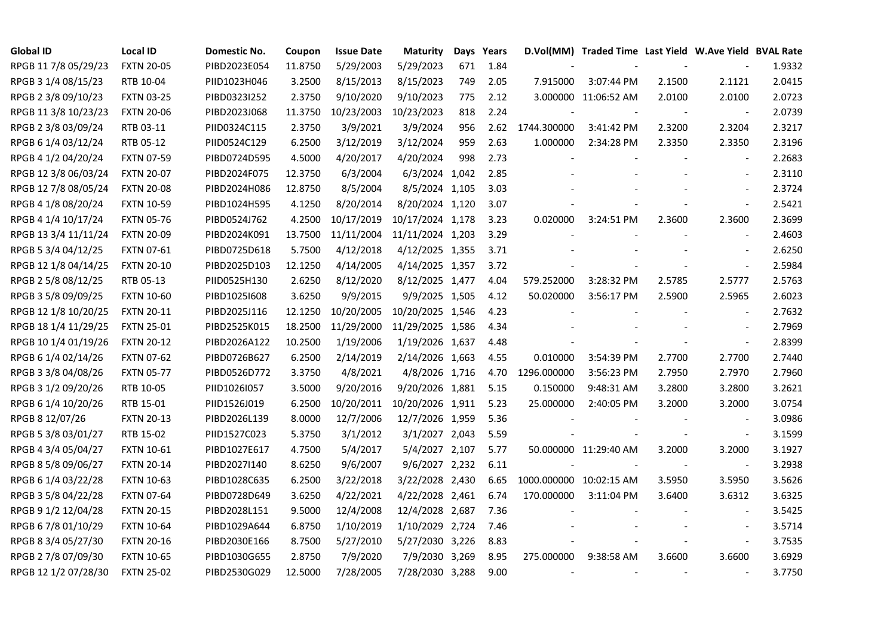| <b>Global ID</b>     | <b>Local ID</b>   | Domestic No. | Coupon  | <b>Issue Date</b> | <b>Maturity</b>  |     | Days Years |                         | D.Vol(MM) Traded Time Last Yield W.Ave Yield BVAL Rate |        |                          |        |
|----------------------|-------------------|--------------|---------|-------------------|------------------|-----|------------|-------------------------|--------------------------------------------------------|--------|--------------------------|--------|
| RPGB 11 7/8 05/29/23 | <b>FXTN 20-05</b> | PIBD2023E054 | 11.8750 | 5/29/2003         | 5/29/2023        | 671 | 1.84       |                         |                                                        |        |                          | 1.9332 |
| RPGB 3 1/4 08/15/23  | RTB 10-04         | PIID1023H046 | 3.2500  | 8/15/2013         | 8/15/2023        | 749 | 2.05       | 7.915000                | 3:07:44 PM                                             | 2.1500 | 2.1121                   | 2.0415 |
| RPGB 2 3/8 09/10/23  | <b>FXTN 03-25</b> | PIBD0323I252 | 2.3750  | 9/10/2020         | 9/10/2023        | 775 | 2.12       |                         | 3.000000 11:06:52 AM                                   | 2.0100 | 2.0100                   | 2.0723 |
| RPGB 11 3/8 10/23/23 | <b>FXTN 20-06</b> | PIBD2023J068 | 11.3750 | 10/23/2003        | 10/23/2023       | 818 | 2.24       |                         |                                                        |        | $\overline{\phantom{a}}$ | 2.0739 |
| RPGB 2 3/8 03/09/24  | RTB 03-11         | PIID0324C115 | 2.3750  | 3/9/2021          | 3/9/2024         | 956 | 2.62       | 1744.300000             | 3:41:42 PM                                             | 2.3200 | 2.3204                   | 2.3217 |
| RPGB 6 1/4 03/12/24  | RTB 05-12         | PIID0524C129 | 6.2500  | 3/12/2019         | 3/12/2024        | 959 | 2.63       | 1.000000                | 2:34:28 PM                                             | 2.3350 | 2.3350                   | 2.3196 |
| RPGB 4 1/2 04/20/24  | <b>FXTN 07-59</b> | PIBD0724D595 | 4.5000  | 4/20/2017         | 4/20/2024        | 998 | 2.73       |                         |                                                        |        | $\blacksquare$           | 2.2683 |
| RPGB 12 3/8 06/03/24 | <b>FXTN 20-07</b> | PIBD2024F075 | 12.3750 | 6/3/2004          | 6/3/2024 1,042   |     | 2.85       |                         |                                                        |        | $\blacksquare$           | 2.3110 |
| RPGB 12 7/8 08/05/24 | <b>FXTN 20-08</b> | PIBD2024H086 | 12.8750 | 8/5/2004          | 8/5/2024 1,105   |     | 3.03       |                         |                                                        |        |                          | 2.3724 |
| RPGB 4 1/8 08/20/24  | <b>FXTN 10-59</b> | PIBD1024H595 | 4.1250  | 8/20/2014         | 8/20/2024 1,120  |     | 3.07       |                         |                                                        |        | $\blacksquare$           | 2.5421 |
| RPGB 4 1/4 10/17/24  | <b>FXTN 05-76</b> | PIBD0524J762 | 4.2500  | 10/17/2019        | 10/17/2024 1,178 |     | 3.23       | 0.020000                | 3:24:51 PM                                             | 2.3600 | 2.3600                   | 2.3699 |
| RPGB 13 3/4 11/11/24 | <b>FXTN 20-09</b> | PIBD2024K091 | 13.7500 | 11/11/2004        | 11/11/2024 1,203 |     | 3.29       |                         |                                                        |        | $\blacksquare$           | 2.4603 |
| RPGB 5 3/4 04/12/25  | <b>FXTN 07-61</b> | PIBD0725D618 | 5.7500  | 4/12/2018         | 4/12/2025 1,355  |     | 3.71       |                         |                                                        |        | $\overline{\phantom{a}}$ | 2.6250 |
| RPGB 12 1/8 04/14/25 | <b>FXTN 20-10</b> | PIBD2025D103 | 12.1250 | 4/14/2005         | 4/14/2025 1,357  |     | 3.72       |                         |                                                        |        | $\blacksquare$           | 2.5984 |
| RPGB 2 5/8 08/12/25  | RTB 05-13         | PIID0525H130 | 2.6250  | 8/12/2020         | 8/12/2025 1,477  |     | 4.04       | 579.252000              | 3:28:32 PM                                             | 2.5785 | 2.5777                   | 2.5763 |
| RPGB 3 5/8 09/09/25  | <b>FXTN 10-60</b> | PIBD10251608 | 3.6250  | 9/9/2015          | 9/9/2025 1,505   |     | 4.12       | 50.020000               | 3:56:17 PM                                             | 2.5900 | 2.5965                   | 2.6023 |
| RPGB 12 1/8 10/20/25 | <b>FXTN 20-11</b> | PIBD2025J116 | 12.1250 | 10/20/2005        | 10/20/2025 1,546 |     | 4.23       |                         |                                                        |        | $\overline{\phantom{a}}$ | 2.7632 |
| RPGB 18 1/4 11/29/25 | <b>FXTN 25-01</b> | PIBD2525K015 | 18.2500 | 11/29/2000        | 11/29/2025 1,586 |     | 4.34       |                         |                                                        |        | $\blacksquare$           | 2.7969 |
| RPGB 10 1/4 01/19/26 | <b>FXTN 20-12</b> | PIBD2026A122 | 10.2500 | 1/19/2006         | 1/19/2026 1,637  |     | 4.48       |                         |                                                        |        | $\blacksquare$           | 2.8399 |
| RPGB 6 1/4 02/14/26  | <b>FXTN 07-62</b> | PIBD0726B627 | 6.2500  | 2/14/2019         | 2/14/2026 1,663  |     | 4.55       | 0.010000                | 3:54:39 PM                                             | 2.7700 | 2.7700                   | 2.7440 |
| RPGB 3 3/8 04/08/26  | <b>FXTN 05-77</b> | PIBD0526D772 | 3.3750  | 4/8/2021          | 4/8/2026 1,716   |     | 4.70       | 1296.000000             | 3:56:23 PM                                             | 2.7950 | 2.7970                   | 2.7960 |
| RPGB 3 1/2 09/20/26  | RTB 10-05         | PIID1026I057 | 3.5000  | 9/20/2016         | 9/20/2026 1,881  |     | 5.15       | 0.150000                | 9:48:31 AM                                             | 3.2800 | 3.2800                   | 3.2621 |
| RPGB 6 1/4 10/20/26  | RTB 15-01         | PIID1526J019 | 6.2500  | 10/20/2011        | 10/20/2026 1,911 |     | 5.23       | 25.000000               | 2:40:05 PM                                             | 3.2000 | 3.2000                   | 3.0754 |
| RPGB 8 12/07/26      | <b>FXTN 20-13</b> | PIBD2026L139 | 8.0000  | 12/7/2006         | 12/7/2026 1,959  |     | 5.36       |                         |                                                        |        |                          | 3.0986 |
| RPGB 5 3/8 03/01/27  | RTB 15-02         | PIID1527C023 | 5.3750  | 3/1/2012          | 3/1/2027 2,043   |     | 5.59       |                         |                                                        |        | $\overline{\phantom{a}}$ | 3.1599 |
| RPGB 4 3/4 05/04/27  | <b>FXTN 10-61</b> | PIBD1027E617 | 4.7500  | 5/4/2017          | 5/4/2027 2,107   |     | 5.77       |                         | 50.000000 11:29:40 AM                                  | 3.2000 | 3.2000                   | 3.1927 |
| RPGB 8 5/8 09/06/27  | <b>FXTN 20-14</b> | PIBD2027I140 | 8.6250  | 9/6/2007          | 9/6/2027 2,232   |     | 6.11       |                         |                                                        |        | $\blacksquare$           | 3.2938 |
| RPGB 6 1/4 03/22/28  | <b>FXTN 10-63</b> | PIBD1028C635 | 6.2500  | 3/22/2018         | 3/22/2028 2,430  |     | 6.65       | 1000.000000 10:02:15 AM |                                                        | 3.5950 | 3.5950                   | 3.5626 |
| RPGB 3 5/8 04/22/28  | <b>FXTN 07-64</b> | PIBD0728D649 | 3.6250  | 4/22/2021         | 4/22/2028 2,461  |     | 6.74       | 170.000000              | 3:11:04 PM                                             | 3.6400 | 3.6312                   | 3.6325 |
| RPGB 9 1/2 12/04/28  | <b>FXTN 20-15</b> | PIBD2028L151 | 9.5000  | 12/4/2008         | 12/4/2028 2,687  |     | 7.36       |                         |                                                        |        |                          | 3.5425 |
| RPGB 67/8 01/10/29   | <b>FXTN 10-64</b> | PIBD1029A644 | 6.8750  | 1/10/2019         | 1/10/2029 2,724  |     | 7.46       |                         |                                                        |        | $\overline{\phantom{a}}$ | 3.5714 |
| RPGB 8 3/4 05/27/30  | <b>FXTN 20-16</b> | PIBD2030E166 | 8.7500  | 5/27/2010         | 5/27/2030 3,226  |     | 8.83       |                         |                                                        |        | $\blacksquare$           | 3.7535 |
| RPGB 2 7/8 07/09/30  | <b>FXTN 10-65</b> | PIBD1030G655 | 2.8750  | 7/9/2020          | 7/9/2030 3,269   |     | 8.95       | 275.000000              | 9:38:58 AM                                             | 3.6600 | 3.6600                   | 3.6929 |
| RPGB 12 1/2 07/28/30 | <b>FXTN 25-02</b> | PIBD2530G029 | 12.5000 | 7/28/2005         | 7/28/2030 3,288  |     | 9.00       |                         |                                                        |        | $\sim$                   | 3.7750 |